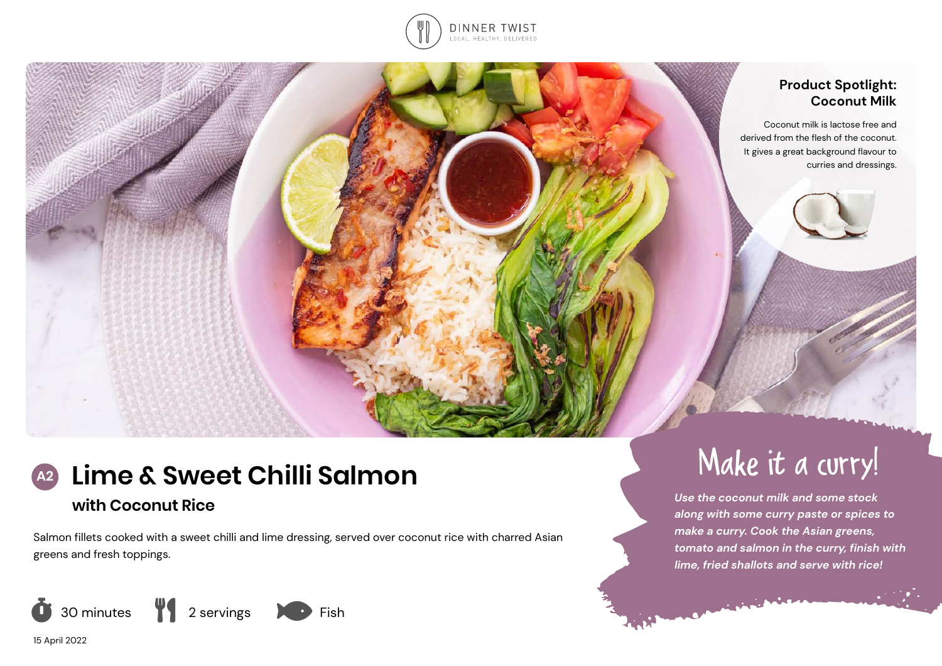

## **Product Spotlight: Coconut Milk**

Coconut milk is lactose free and derived from the flesh of the coconut. It gives a great background flavour to curries and dressings.

# **Lime & Sweet Chilli Salmon A2** Make it a curry!

## **with Coconut Rice**

Salmon fillets cooked with a sweet chilli and lime dressing, served over coconut rice with charred Asian greens and fresh toppings.



15 April 2022



*Use the coconut milk and some stock along with some curry paste or spices to make a curry. Cook the Asian greens, tomato and salmon in the curry, finish with lime, fried shallots and serve with rice!*